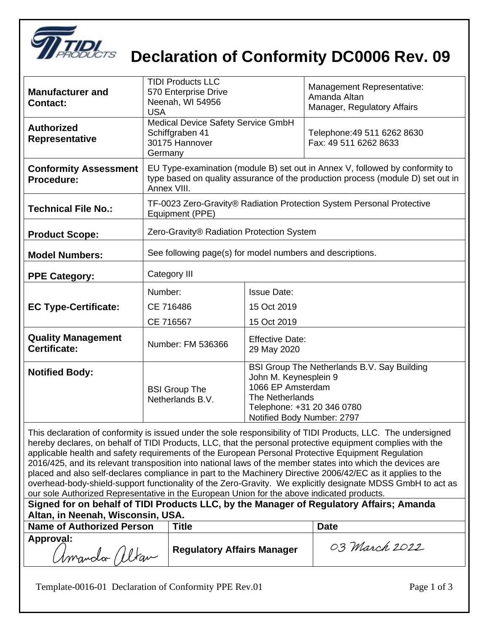

## **Declaration of Conformity DC0006 Rev. 09**

| <b>Manufacturer and</b><br><b>Contact:</b>                                                                                                                                                                                                                                                                                        | <b>TIDI Products LLC</b><br>570 Enterprise Drive<br>Neenah, WI 54956<br><b>USA</b>                                                                                             |                                                                                                                                                                          | Management Representative:<br>Amanda Altan<br>Manager, Regulatory Affairs |  |  |
|-----------------------------------------------------------------------------------------------------------------------------------------------------------------------------------------------------------------------------------------------------------------------------------------------------------------------------------|--------------------------------------------------------------------------------------------------------------------------------------------------------------------------------|--------------------------------------------------------------------------------------------------------------------------------------------------------------------------|---------------------------------------------------------------------------|--|--|
| <b>Authorized</b><br><b>Representative</b>                                                                                                                                                                                                                                                                                        | Medical Device Safety Service GmbH<br>Schiffgraben 41<br>30175 Hannover<br>Germany                                                                                             |                                                                                                                                                                          | Telephone: 49 511 6262 8630<br>Fax: 49 511 6262 8633                      |  |  |
| <b>Conformity Assessment</b><br>Procedure:                                                                                                                                                                                                                                                                                        | EU Type-examination (module B) set out in Annex V, followed by conformity to<br>type based on quality assurance of the production process (module D) set out in<br>Annex VIII. |                                                                                                                                                                          |                                                                           |  |  |
| <b>Technical File No.:</b>                                                                                                                                                                                                                                                                                                        | TF-0023 Zero-Gravity® Radiation Protection System Personal Protective<br>Equipment (PPE)                                                                                       |                                                                                                                                                                          |                                                                           |  |  |
| <b>Product Scope:</b>                                                                                                                                                                                                                                                                                                             | Zero-Gravity® Radiation Protection System                                                                                                                                      |                                                                                                                                                                          |                                                                           |  |  |
| <b>Model Numbers:</b>                                                                                                                                                                                                                                                                                                             | See following page(s) for model numbers and descriptions.                                                                                                                      |                                                                                                                                                                          |                                                                           |  |  |
| <b>PPE Category:</b>                                                                                                                                                                                                                                                                                                              | Category III                                                                                                                                                                   |                                                                                                                                                                          |                                                                           |  |  |
| <b>EC Type-Certificate:</b>                                                                                                                                                                                                                                                                                                       | Number:<br>CE 716486<br>CE 716567                                                                                                                                              | <b>Issue Date:</b><br>15 Oct 2019<br>15 Oct 2019                                                                                                                         |                                                                           |  |  |
| <b>Quality Management</b><br>Certificate:                                                                                                                                                                                                                                                                                         | Number: FM 536366                                                                                                                                                              | <b>Effective Date:</b><br>29 May 2020                                                                                                                                    |                                                                           |  |  |
| <b>Notified Body:</b>                                                                                                                                                                                                                                                                                                             | <b>BSI Group The</b><br>Netherlands B.V.                                                                                                                                       | BSI Group The Netherlands B.V. Say Building<br>John M. Keynesplein 9<br>1066 EP Amsterdam<br>The Netherlands<br>Telephone: +31 20 346 0780<br>Notified Body Number: 2797 |                                                                           |  |  |
| This declaration of conformity is issued under the sole responsibility of TIDI Products, LLC. The undersigned<br>hereby declares, on behalf of TIDI Products, LLC, that the personal protective equipment complies with the<br>applicable health and safety requirements of the European Personal Protective Equipment Regulation |                                                                                                                                                                                |                                                                                                                                                                          |                                                                           |  |  |

2016/425, and its relevant transposition into national laws of the member states into which the devices are placed and also self-declares compliance in part to the Machinery Directive 2006/42/EC as it applies to the overhead-body-shield-support functionality of the Zero-Gravity. We explicitly designate MDSS GmbH to act as our sole Authorized Representative in the European Union for the above indicated products.

**Signed for on behalf of TIDI Products LLC, by the Manager of Regulatory Affairs; Amanda Altan, in Neenah, Wisconsin, USA.**

| <b>Name of Authorized Person</b> | Title<br><b>Date</b>              |               |
|----------------------------------|-----------------------------------|---------------|
| Approval:<br>Umando Ultan        | <b>Regulatory Affairs Manager</b> | 03 March 2022 |

Template-0016-01 Declaration of Conformity PPE Rev.01 Page 1 of 3

 $\overline{\phantom{a}}$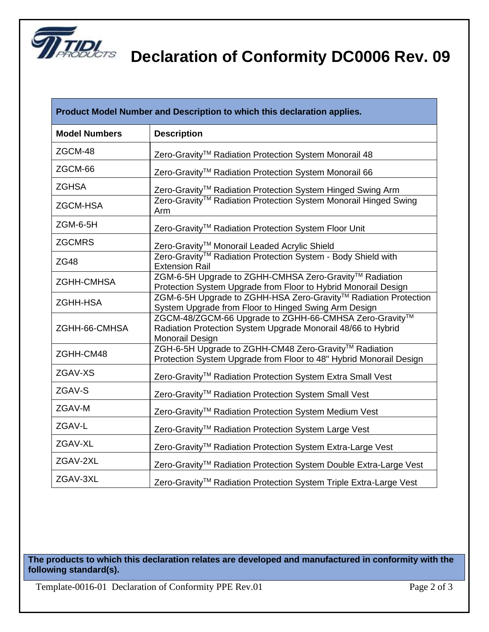

## **Declaration of Conformity DC0006 Rev. 09**

| Product Model Number and Description to which this declaration applies. |                                                                                                                                           |  |  |  |
|-------------------------------------------------------------------------|-------------------------------------------------------------------------------------------------------------------------------------------|--|--|--|
| <b>Model Numbers</b>                                                    | <b>Description</b>                                                                                                                        |  |  |  |
| ZGCM-48                                                                 | Zero-Gravity <sup>™</sup> Radiation Protection System Monorail 48                                                                         |  |  |  |
| ZGCM-66                                                                 | Zero-Gravity™ Radiation Protection System Monorail 66                                                                                     |  |  |  |
| <b>ZGHSA</b>                                                            | Zero-Gravity <sup>™</sup> Radiation Protection System Hinged Swing Arm                                                                    |  |  |  |
| <b>ZGCM-HSA</b>                                                         | Zero-Gravity <sup>™</sup> Radiation Protection System Monorail Hinged Swing<br>Arm                                                        |  |  |  |
| ZGM-6-5H                                                                | Zero-Gravity <sup>™</sup> Radiation Protection System Floor Unit                                                                          |  |  |  |
| <b>ZGCMRS</b>                                                           | Zero-Gravity <sup>™</sup> Monorail Leaded Acrylic Shield                                                                                  |  |  |  |
| <b>ZG48</b>                                                             | Zero-Gravity <sup>™</sup> Radiation Protection System - Body Shield with<br><b>Extension Rail</b>                                         |  |  |  |
| <b>ZGHH-CMHSA</b>                                                       | ZGM-6-5H Upgrade to ZGHH-CMHSA Zero-Gravity™ Radiation<br>Protection System Upgrade from Floor to Hybrid Monorail Design                  |  |  |  |
| <b>ZGHH-HSA</b>                                                         | ZGM-6-5H Upgrade to ZGHH-HSA Zero-Gravity™ Radiation Protection<br>System Upgrade from Floor to Hinged Swing Arm Design                   |  |  |  |
| ZGHH-66-CMHSA                                                           | ZGCM-48/ZGCM-66 Upgrade to ZGHH-66-CMHSA Zero-Gravity™<br>Radiation Protection System Upgrade Monorail 48/66 to Hybrid<br>Monorail Design |  |  |  |
| ZGHH-CM48                                                               | ZGH-6-5H Upgrade to ZGHH-CM48 Zero-Gravity™ Radiation<br>Protection System Upgrade from Floor to 48" Hybrid Monorail Design               |  |  |  |
| ZGAV-XS                                                                 | Zero-Gravity <sup>™</sup> Radiation Protection System Extra Small Vest                                                                    |  |  |  |
| ZGAV-S                                                                  | Zero-Gravity <sup>™</sup> Radiation Protection System Small Vest                                                                          |  |  |  |
| ZGAV-M                                                                  | Zero-Gravity™ Radiation Protection System Medium Vest                                                                                     |  |  |  |
| ZGAV-L                                                                  | Zero-Gravity <sup>™</sup> Radiation Protection System Large Vest                                                                          |  |  |  |
| ZGAV-XL                                                                 | Zero-Gravity <sup>™</sup> Radiation Protection System Extra-Large Vest                                                                    |  |  |  |
| ZGAV-2XL                                                                | Zero-Gravity™ Radiation Protection System Double Extra-Large Vest                                                                         |  |  |  |
| ZGAV-3XL                                                                | Zero-Gravity™ Radiation Protection System Triple Extra-Large Vest                                                                         |  |  |  |

**The products to which this declaration relates are developed and manufactured in conformity with the following standard(s).**

Template-0016-01 Declaration of Conformity PPE Rev.01 Page 2 of 3

 $\overline{\phantom{a}}$